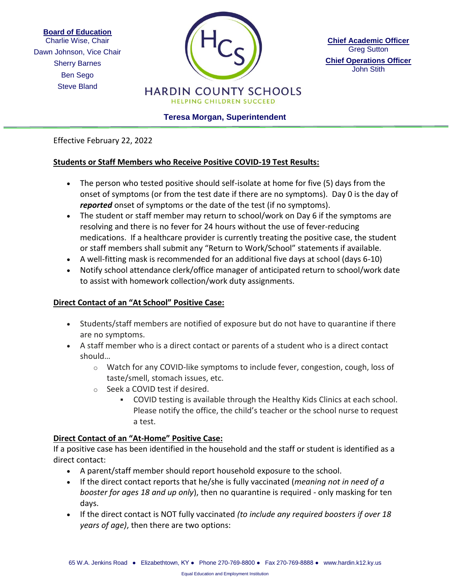**Board of Education**

Sherry Barnes Charlie Wise, Chair Dawn Johnson, Vice Chair Ben Sego Steve Bland



**Chief Academic Officer** Greg Sutton **Chief Operations Officer** John Stith

**Teresa Morgan, Superintendent**

Effective February 22, 2022

## **Students or Staff Members who Receive Positive COVID-19 Test Results:**

- The person who tested positive should self-isolate at home for five (5) days from the onset of symptoms (or from the test date if there are no symptoms). Day 0 is the day of *reported* onset of symptoms or the date of the test (if no symptoms).
- The student or staff member may return to school/work on Day 6 if the symptoms are resolving and there is no fever for 24 hours without the use of fever-reducing medications. If a healthcare provider is currently treating the positive case, the student or staff members shall submit any "Return to Work/School" statements if available.
- A well-fitting mask is recommended for an additional five days at school (days 6-10)
- Notify school attendance clerk/office manager of anticipated return to school/work date to assist with homework collection/work duty assignments.

## **Direct Contact of an "At School" Positive Case:**

- Students/staff members are notified of exposure but do not have to quarantine if there are no symptoms.
- A staff member who is a direct contact or parents of a student who is a direct contact should…
	- $\circ$  Watch for any COVID-like symptoms to include fever, congestion, cough, loss of taste/smell, stomach issues, etc.
	- o Seek a COVID test if desired.
		- COVID testing is available through the Healthy Kids Clinics at each school. Please notify the office, the child's teacher or the school nurse to request a test.

## **Direct Contact of an "At-Home" Positive Case:**

If a positive case has been identified in the household and the staff or student is identified as a direct contact:

- A parent/staff member should report household exposure to the school.
- If the direct contact reports that he/she is fully vaccinated (*meaning not in need of a booster for ages 18 and up only*), then no quarantine is required - only masking for ten days.
- If the direct contact is NOT fully vaccinated *(to include any required boosters if over 18 years of age)*, then there are two options: